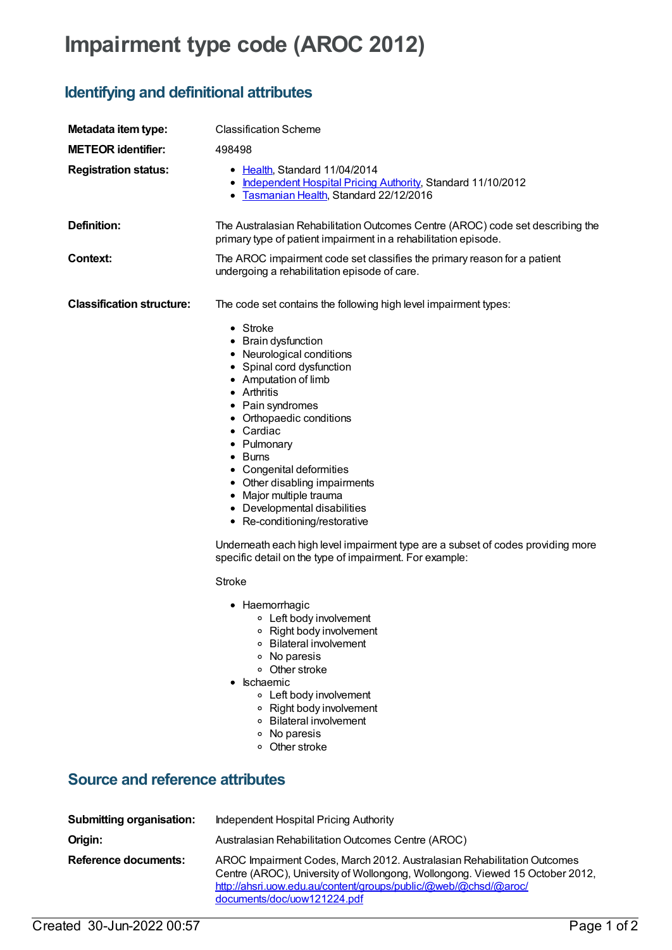## **Impairment type code (AROC 2012)**

## **Identifying and definitional attributes**

| Metadata item type:                                                        | <b>Classification Scheme</b>                                                                                                                                                                                                                                                                                                                                                                                                                                                                                                                                                                                                                                                                                                                                                                                                                                                                                                          |
|----------------------------------------------------------------------------|---------------------------------------------------------------------------------------------------------------------------------------------------------------------------------------------------------------------------------------------------------------------------------------------------------------------------------------------------------------------------------------------------------------------------------------------------------------------------------------------------------------------------------------------------------------------------------------------------------------------------------------------------------------------------------------------------------------------------------------------------------------------------------------------------------------------------------------------------------------------------------------------------------------------------------------|
| <b>METEOR identifier:</b>                                                  | 498498                                                                                                                                                                                                                                                                                                                                                                                                                                                                                                                                                                                                                                                                                                                                                                                                                                                                                                                                |
| <b>Registration status:</b>                                                | • Health, Standard 11/04/2014<br>• Independent Hospital Pricing Authority, Standard 11/10/2012<br>• Tasmanian Health, Standard 22/12/2016                                                                                                                                                                                                                                                                                                                                                                                                                                                                                                                                                                                                                                                                                                                                                                                             |
| <b>Definition:</b>                                                         | The Australasian Rehabilitation Outcomes Centre (AROC) code set describing the<br>primary type of patient impairment in a rehabilitation episode.                                                                                                                                                                                                                                                                                                                                                                                                                                                                                                                                                                                                                                                                                                                                                                                     |
| Context:                                                                   | The AROC impairment code set classifies the primary reason for a patient<br>undergoing a rehabilitation episode of care.                                                                                                                                                                                                                                                                                                                                                                                                                                                                                                                                                                                                                                                                                                                                                                                                              |
| <b>Classification structure:</b><br><b>Source and reference attributes</b> | The code set contains the following high level impairment types:<br>$\bullet$ Stroke<br>• Brain dysfunction<br>• Neurological conditions<br>• Spinal cord dysfunction<br>• Amputation of limb<br>• Arthritis<br>• Pain syndromes<br>• Orthopaedic conditions<br>• Cardiac<br>• Pulmonary<br>$\bullet$ Burns<br>• Congenital deformities<br>• Other disabling impairments<br>• Major multiple trauma<br>• Developmental disabilities<br>• Re-conditioning/restorative<br>Underneath each high level impairment type are a subset of codes providing more<br>specific detail on the type of impairment. For example:<br>Stroke<br>• Haemorrhagic<br>○ Left bodv involvement<br>Right body involvement<br>$\circ$<br><b>Bilateral involvement</b><br>No paresis<br>о<br>Other stroke<br>о<br>Ischaemic<br>٠<br>○ Left body involvement<br>Right body involvement<br>o<br>○ Bilateral involvement<br>No paresis<br>о<br>Other stroke<br>о |
|                                                                            |                                                                                                                                                                                                                                                                                                                                                                                                                                                                                                                                                                                                                                                                                                                                                                                                                                                                                                                                       |
| <b>Submitting organisation:</b>                                            | <b>Independent Hospital Pricing Authority</b>                                                                                                                                                                                                                                                                                                                                                                                                                                                                                                                                                                                                                                                                                                                                                                                                                                                                                         |
| Origin:                                                                    | Australasian Rehabilitation Outcomes Centre (AROC)                                                                                                                                                                                                                                                                                                                                                                                                                                                                                                                                                                                                                                                                                                                                                                                                                                                                                    |
| <b>Reference documents:</b>                                                | AROC Impairment Codes, March 2012. Australasian Rehabilitation Outcomes<br>Centre (AROC), University of Wollongong, Wollongong. Viewed 15 October 2012,<br>http://ahsri.uow.edu.au/content/groups/public/@web/@chsd/@aroc/                                                                                                                                                                                                                                                                                                                                                                                                                                                                                                                                                                                                                                                                                                            |

documents/doc/uow121224.pdf

Created 30-Jun-2022 00:57 Page 1 of 2